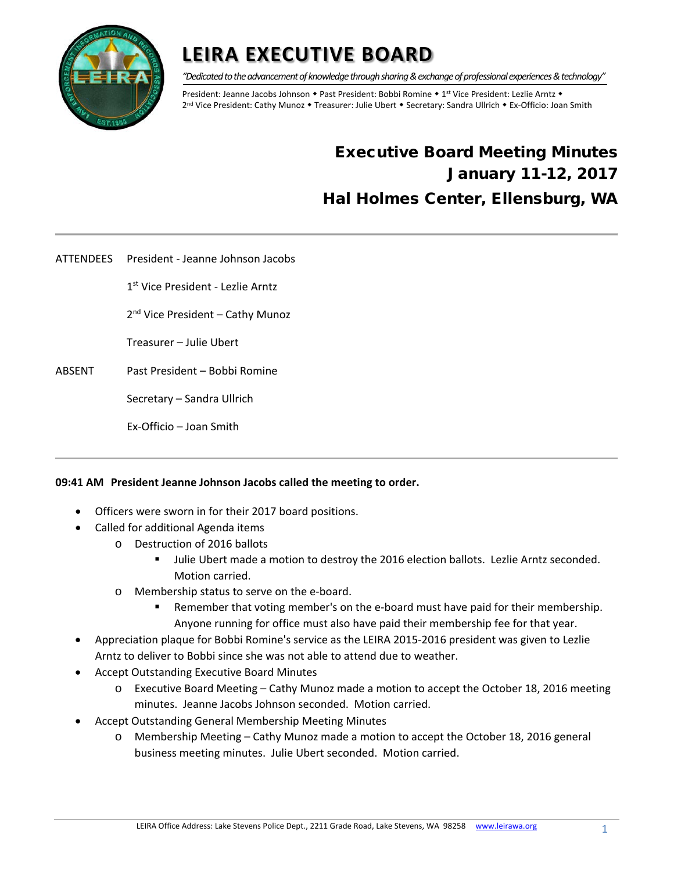

*"Dedicated to the advancement of knowledge through sharing & exchange of professional experiences & technology"*

President: Jeanne Jacobs Johnson • Past President: Bobbi Romine • 1<sup>st</sup> Vice President: Lezlie Arntz • 2<sup>nd</sup> Vice President: Cathy Munoz • Treasurer: Julie Ubert • Secretary: Sandra Ullrich • Ex-Officio: Joan Smith

### Executive Board Meeting Minutes January 11-12, 2017 Hal Holmes Center, Ellensburg, WA

ATTENDEES President - Jeanne Johnson Jacobs

1st Vice President - Lezlie Arntz

2<sup>nd</sup> Vice President - Cathy Munoz

Treasurer – Julie Ubert

ABSENT Past President – Bobbi Romine

Secretary – Sandra Ullrich

Ex-Officio – Joan Smith

#### **09:41 AM President Jeanne Johnson Jacobs called the meeting to order.**

- Officers were sworn in for their 2017 board positions.
- Called for additional Agenda items
	- o Destruction of 2016 ballots
		- Julie Ubert made a motion to destroy the 2016 election ballots. Lezlie Arntz seconded. Motion carried.
	- o Membership status to serve on the e-board.
		- **Remember that voting member's on the e-board must have paid for their membership.** Anyone running for office must also have paid their membership fee for that year.
- Appreciation plaque for Bobbi Romine's service as the LEIRA 2015-2016 president was given to Lezlie Arntz to deliver to Bobbi since she was not able to attend due to weather.
- Accept Outstanding Executive Board Minutes
	- o Executive Board Meeting Cathy Munoz made a motion to accept the October 18, 2016 meeting minutes. Jeanne Jacobs Johnson seconded. Motion carried.
- Accept Outstanding General Membership Meeting Minutes
	- o Membership Meeting Cathy Munoz made a motion to accept the October 18, 2016 general business meeting minutes. Julie Ubert seconded. Motion carried.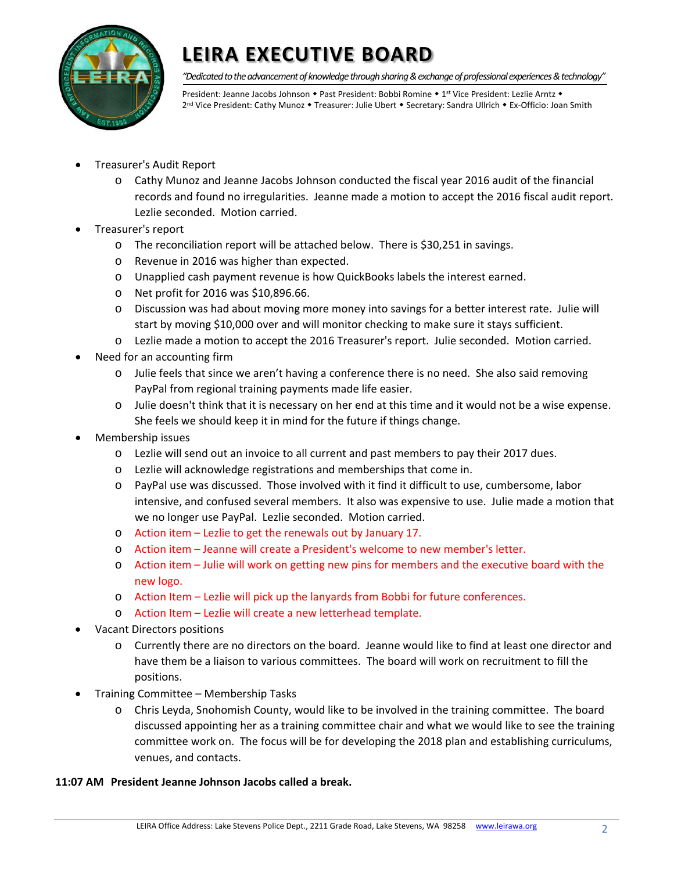

*"Dedicated to the advancement of knowledge through sharing & exchange of professional experiences & technology"*

President: Jeanne Jacobs Johnson • Past President: Bobbi Romine • 1st Vice President: Lezlie Arntz • 2<sup>nd</sup> Vice President: Cathy Munoz • Treasurer: Julie Ubert • Secretary: Sandra Ullrich • Ex-Officio: Joan Smith

- Treasurer's Audit Report
	- o Cathy Munoz and Jeanne Jacobs Johnson conducted the fiscal year 2016 audit of the financial records and found no irregularities. Jeanne made a motion to accept the 2016 fiscal audit report. Lezlie seconded. Motion carried.
- Treasurer's report
	- o The reconciliation report will be attached below. There is \$30,251 in savings.
	- o Revenue in 2016 was higher than expected.
	- o Unapplied cash payment revenue is how QuickBooks labels the interest earned.
	- o Net profit for 2016 was \$10,896.66.
	- o Discussion was had about moving more money into savings for a better interest rate. Julie will start by moving \$10,000 over and will monitor checking to make sure it stays sufficient.
	- o Lezlie made a motion to accept the 2016 Treasurer's report. Julie seconded. Motion carried.
- Need for an accounting firm
	- o Julie feels that since we aren't having a conference there is no need. She also said removing PayPal from regional training payments made life easier.
	- o Julie doesn't think that it is necessary on her end at this time and it would not be a wise expense. She feels we should keep it in mind for the future if things change.
- Membership issues
	- o Lezlie will send out an invoice to all current and past members to pay their 2017 dues.
	- o Lezlie will acknowledge registrations and memberships that come in.
	- o PayPal use was discussed. Those involved with it find it difficult to use, cumbersome, labor intensive, and confused several members. It also was expensive to use. Julie made a motion that we no longer use PayPal. Lezlie seconded. Motion carried.
	- o Action item Lezlie to get the renewals out by January 17.
	- o Action item Jeanne will create a President's welcome to new member's letter.
	- o Action item Julie will work on getting new pins for members and the executive board with the new logo.
	- o Action Item Lezlie will pick up the lanyards from Bobbi for future conferences.
	- o Action Item Lezlie will create a new letterhead template.
- Vacant Directors positions
	- o Currently there are no directors on the board. Jeanne would like to find at least one director and have them be a liaison to various committees. The board will work on recruitment to fill the positions.
- Training Committee Membership Tasks
	- o Chris Leyda, Snohomish County, would like to be involved in the training committee. The board discussed appointing her as a training committee chair and what we would like to see the training committee work on. The focus will be for developing the 2018 plan and establishing curriculums, venues, and contacts.

#### **11:07 AM President Jeanne Johnson Jacobs called a break.**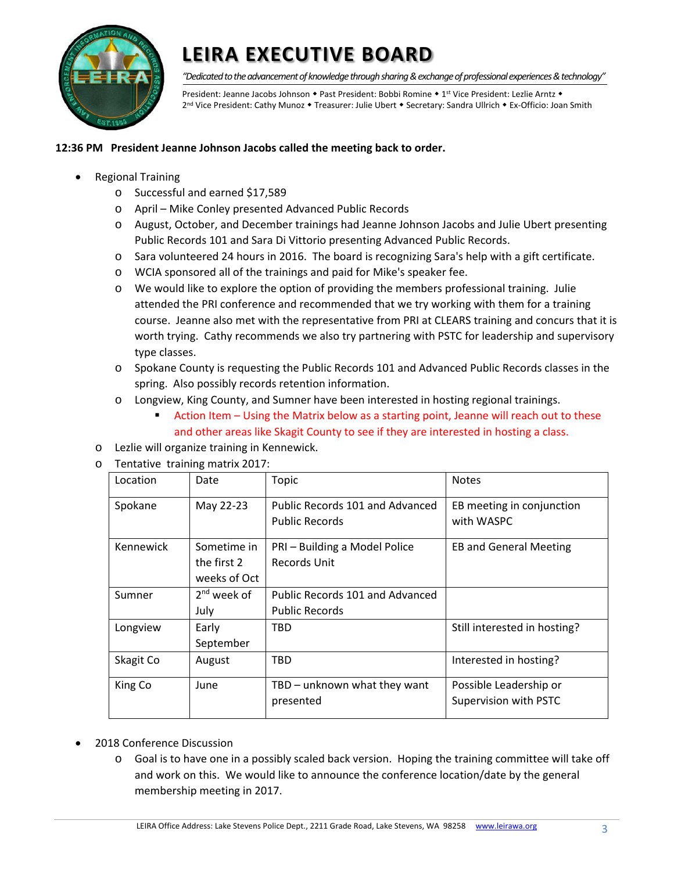

*"Dedicated to the advancement of knowledge through sharing & exchange of professional experiences & technology"*

President: Jeanne Jacobs Johnson • Past President: Bobbi Romine • 1st Vice President: Lezlie Arntz • 2<sup>nd</sup> Vice President: Cathy Munoz • Treasurer: Julie Ubert • Secretary: Sandra Ullrich • Ex-Officio: Joan Smith

#### **12:36 PM President Jeanne Johnson Jacobs called the meeting back to order.**

- Regional Training
	- o Successful and earned \$17,589
	- o April Mike Conley presented Advanced Public Records
	- o August, October, and December trainings had Jeanne Johnson Jacobs and Julie Ubert presenting Public Records 101 and Sara Di Vittorio presenting Advanced Public Records.
	- o Sara volunteered 24 hours in 2016. The board is recognizing Sara's help with a gift certificate.
	- o WCIA sponsored all of the trainings and paid for Mike's speaker fee.
	- o We would like to explore the option of providing the members professional training. Julie attended the PRI conference and recommended that we try working with them for a training course. Jeanne also met with the representative from PRI at CLEARS training and concurs that it is worth trying. Cathy recommends we also try partnering with PSTC for leadership and supervisory type classes.
	- o Spokane County is requesting the Public Records 101 and Advanced Public Records classes in the spring. Also possibly records retention information.
	- o Longview, King County, and Sumner have been interested in hosting regional trainings.
		- Action Item Using the Matrix below as a starting point, Jeanne will reach out to these and other areas like Skagit County to see if they are interested in hosting a class.
	- o Lezlie will organize training in Kennewick.
	- o Tentative training matrix 2017:

| Location  | Date                                       | Topic                                                    | <b>Notes</b>                                    |
|-----------|--------------------------------------------|----------------------------------------------------------|-------------------------------------------------|
| Spokane   | May 22-23                                  | Public Records 101 and Advanced<br><b>Public Records</b> | EB meeting in conjunction<br>with WASPC         |
| Kennewick | Sometime in<br>the first 2<br>weeks of Oct | PRI – Building a Model Police<br>Records Unit            | <b>EB and General Meeting</b>                   |
| Sumner    | $2nd$ week of<br>July                      | Public Records 101 and Advanced<br><b>Public Records</b> |                                                 |
| Longview  | Early<br>September                         | TBD                                                      | Still interested in hosting?                    |
| Skagit Co | August                                     | TBD                                                      | Interested in hosting?                          |
| King Co   | June                                       | TBD - unknown what they want<br>presented                | Possible Leadership or<br>Supervision with PSTC |

- 2018 Conference Discussion
	- o Goal is to have one in a possibly scaled back version. Hoping the training committee will take off and work on this. We would like to announce the conference location/date by the general membership meeting in 2017.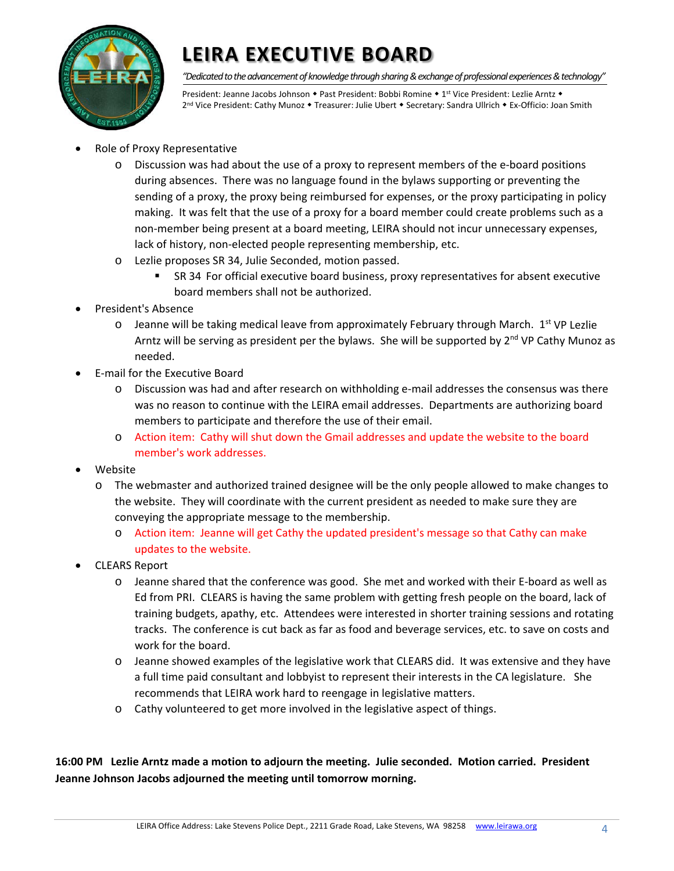

*"Dedicated to the advancement of knowledge through sharing & exchange of professional experiences & technology"*

President: Jeanne Jacobs Johnson • Past President: Bobbi Romine • 1<sup>st</sup> Vice President: Lezlie Arntz • 2<sup>nd</sup> Vice President: Cathy Munoz • Treasurer: Julie Ubert • Secretary: Sandra Ullrich • Ex-Officio: Joan Smith

- Role of Proxy Representative
	- o Discussion was had about the use of a proxy to represent members of the e-board positions during absences. There was no language found in the bylaws supporting or preventing the sending of a proxy, the proxy being reimbursed for expenses, or the proxy participating in policy making. It was felt that the use of a proxy for a board member could create problems such as a non-member being present at a board meeting, LEIRA should not incur unnecessary expenses, lack of history, non-elected people representing membership, etc.
	- o Lezlie proposes SR 34, Julie Seconded, motion passed.
		- SR 34 For official executive board business, proxy representatives for absent executive board members shall not be authorized.
- President's Absence
	- $\circ$  Jeanne will be taking medical leave from approximately February through March. 1st VP Lezlie Arntz will be serving as president per the bylaws. She will be supported by 2<sup>nd</sup> VP Cathy Munoz as needed.
- E-mail for the Executive Board
	- o Discussion was had and after research on withholding e-mail addresses the consensus was there was no reason to continue with the LEIRA email addresses. Departments are authorizing board members to participate and therefore the use of their email.
	- o Action item: Cathy will shut down the Gmail addresses and update the website to the board member's work addresses.
- Website
	- o The webmaster and authorized trained designee will be the only people allowed to make changes to the website. They will coordinate with the current president as needed to make sure they are conveying the appropriate message to the membership.
		- o Action item: Jeanne will get Cathy the updated president's message so that Cathy can make updates to the website.
- CLEARS Report
	- o Jeanne shared that the conference was good. She met and worked with their E-board as well as Ed from PRI. CLEARS is having the same problem with getting fresh people on the board, lack of training budgets, apathy, etc. Attendees were interested in shorter training sessions and rotating tracks. The conference is cut back as far as food and beverage services, etc. to save on costs and work for the board.
	- o Jeanne showed examples of the legislative work that CLEARS did. It was extensive and they have a full time paid consultant and lobbyist to represent their interests in the CA legislature. She recommends that LEIRA work hard to reengage in legislative matters.
	- o Cathy volunteered to get more involved in the legislative aspect of things.

**16:00 PM Lezlie Arntz made a motion to adjourn the meeting. Julie seconded. Motion carried. President Jeanne Johnson Jacobs adjourned the meeting until tomorrow morning.**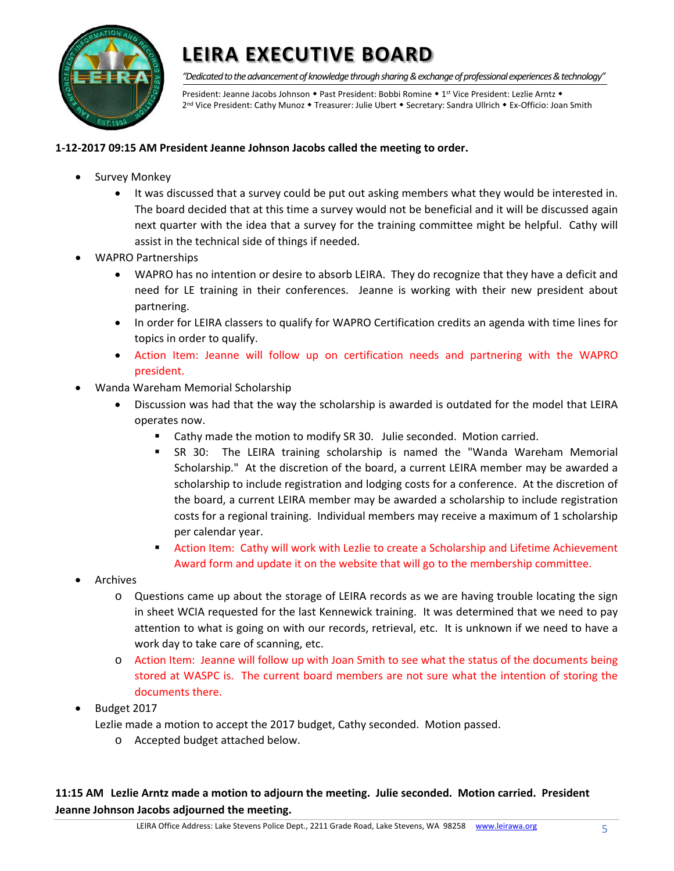

*"Dedicated to the advancement of knowledge through sharing & exchange of professional experiences & technology"*

President: Jeanne Jacobs Johnson • Past President: Bobbi Romine • 1st Vice President: Lezlie Arntz • 2<sup>nd</sup> Vice President: Cathy Munoz • Treasurer: Julie Ubert • Secretary: Sandra Ullrich • Ex-Officio: Joan Smith

#### **1-12-2017 09:15 AM President Jeanne Johnson Jacobs called the meeting to order.**

- Survey Monkey
	- It was discussed that a survey could be put out asking members what they would be interested in. The board decided that at this time a survey would not be beneficial and it will be discussed again next quarter with the idea that a survey for the training committee might be helpful. Cathy will assist in the technical side of things if needed.
- WAPRO Partnerships
	- WAPRO has no intention or desire to absorb LEIRA. They do recognize that they have a deficit and need for LE training in their conferences. Jeanne is working with their new president about partnering.
	- In order for LEIRA classers to qualify for WAPRO Certification credits an agenda with time lines for topics in order to qualify.
	- Action Item: Jeanne will follow up on certification needs and partnering with the WAPRO president.
- Wanda Wareham Memorial Scholarship
	- Discussion was had that the way the scholarship is awarded is outdated for the model that LEIRA operates now.
		- **EXECT 10** Cathy made the motion to modify SR 30. Julie seconded. Motion carried.
		- SR 30: The LEIRA training scholarship is named the "Wanda Wareham Memorial Scholarship." At the discretion of the board, a current LEIRA member may be awarded a scholarship to include registration and lodging costs for a conference. At the discretion of the board, a current LEIRA member may be awarded a scholarship to include registration costs for a regional training. Individual members may receive a maximum of 1 scholarship per calendar year.
		- **Action Item: Cathy will work with Lezlie to create a Scholarship and Lifetime Achievement** Award form and update it on the website that will go to the membership committee.
- Archives
	- o Questions came up about the storage of LEIRA records as we are having trouble locating the sign in sheet WCIA requested for the last Kennewick training. It was determined that we need to pay attention to what is going on with our records, retrieval, etc. It is unknown if we need to have a work day to take care of scanning, etc.
	- o Action Item: Jeanne will follow up with Joan Smith to see what the status of the documents being stored at WASPC is. The current board members are not sure what the intention of storing the documents there.
- Budget 2017

Lezlie made a motion to accept the 2017 budget, Cathy seconded. Motion passed.

o Accepted budget attached below.

**11:15 AM Lezlie Arntz made a motion to adjourn the meeting. Julie seconded. Motion carried. President Jeanne Johnson Jacobs adjourned the meeting.**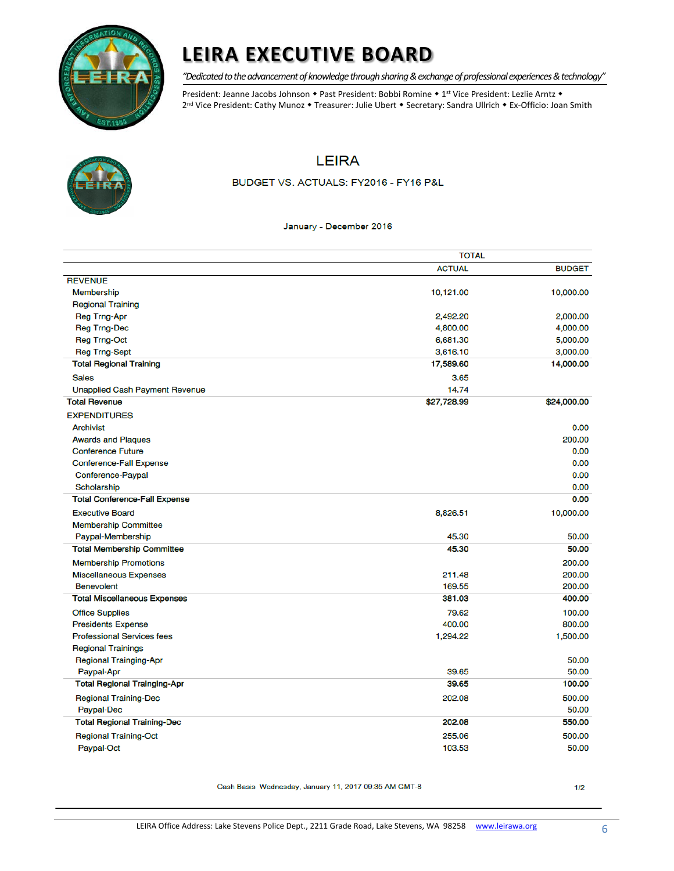

*"Dedicated to the advancement of knowledge through sharing & exchange of professional experiences & technology"*

President: Jeanne Jacobs Johnson • Past President: Bobbi Romine • 1st Vice President: Lezlie Arntz • 2<sup>nd</sup> Vice President: Cathy Munoz • Treasurer: Julie Ubert • Secretary: Sandra Ullrich • Ex-Officio: Joan Smith



### **LEIRA**

BUDGET VS. ACTUALS: FY2016 - FY16 P&L

#### January - December 2016

|                                       | <b>TOTAL</b>  |               |  |
|---------------------------------------|---------------|---------------|--|
|                                       | <b>ACTUAL</b> | <b>BUDGET</b> |  |
| <b>REVENUE</b>                        |               |               |  |
| <b>Membership</b>                     | 10,121.00     | 10,000.00     |  |
| <b>Regional Training</b>              |               |               |  |
| Reg Trng-Apr                          | 2,492.20      | 2,000.00      |  |
| <b>Reg Trng-Dec</b>                   | 4,800.00      | 4,000.00      |  |
| <b>Reg Trng-Oct</b>                   | 6,681.30      | 5,000.00      |  |
| <b>Reg Trng-Sept</b>                  | 3,616.10      | 3,000.00      |  |
| <b>Total Regional Training</b>        | 17,589.60     | 14,000.00     |  |
| <b>Sales</b>                          | 3.65          |               |  |
| <b>Unapplied Cash Payment Revenue</b> | 14.74         |               |  |
| <b>Total Revenue</b>                  | \$27,728.99   | \$24,000.00   |  |
| <b>EXPENDITURES</b>                   |               |               |  |
| <b>Archivist</b>                      |               | 0.00          |  |
| <b>Awards and Plaques</b>             |               | 200.00        |  |
| <b>Conference Future</b>              |               | 0.00          |  |
| <b>Conference-Fall Expense</b>        |               | 0.00          |  |
| Conference-Paypal                     |               | 0.00          |  |
| Scholarship                           |               | 0.00          |  |
| <b>Total Conference-Fall Expense</b>  |               | 0.00          |  |
| <b>Executive Board</b>                | 8,826.51      | 10,000.00     |  |
| <b>Membership Committee</b>           |               |               |  |
| Paypal-Membership                     | 45.30         | 50.00         |  |
| <b>Total Membership Committee</b>     | 45.30         | 50.00         |  |
| <b>Membership Promotions</b>          |               | 200.00        |  |
| <b>Miscellaneous Expenses</b>         | 211.48        | 200.00        |  |
| <b>Benevolent</b>                     | 169.55        | 200.00        |  |
| <b>Total Miscellaneous Expenses</b>   | 381.03        | 400.00        |  |
| <b>Office Supplies</b>                | 79.62         | 100.00        |  |
| <b>Presidents Expense</b>             | 400.00        | 800.00        |  |
| <b>Professional Services fees</b>     | 1,294.22      | 1,500.00      |  |
| <b>Regional Trainings</b>             |               |               |  |
| <b>Regional Trainging-Apr</b>         |               | 50.00         |  |
| Paypal-Apr                            | 39.65         | 50.00         |  |
| <b>Total Regional Trainging-Apr</b>   | 39.65         | 100.00        |  |
| <b>Regional Training-Dec</b>          | 202.08        | 500.00        |  |
| <b>Paypal-Dec</b>                     |               | 50.00         |  |
| <b>Total Regional Training-Dec</b>    | 202.08        | 550.00        |  |
| <b>Regional Training-Oct</b>          | 255.06        | 500.00        |  |
| Paypal-Oct                            | 103.53        | 50.00         |  |

Cash Basis Wednesday, January 11, 2017 09:35 AM GMT-8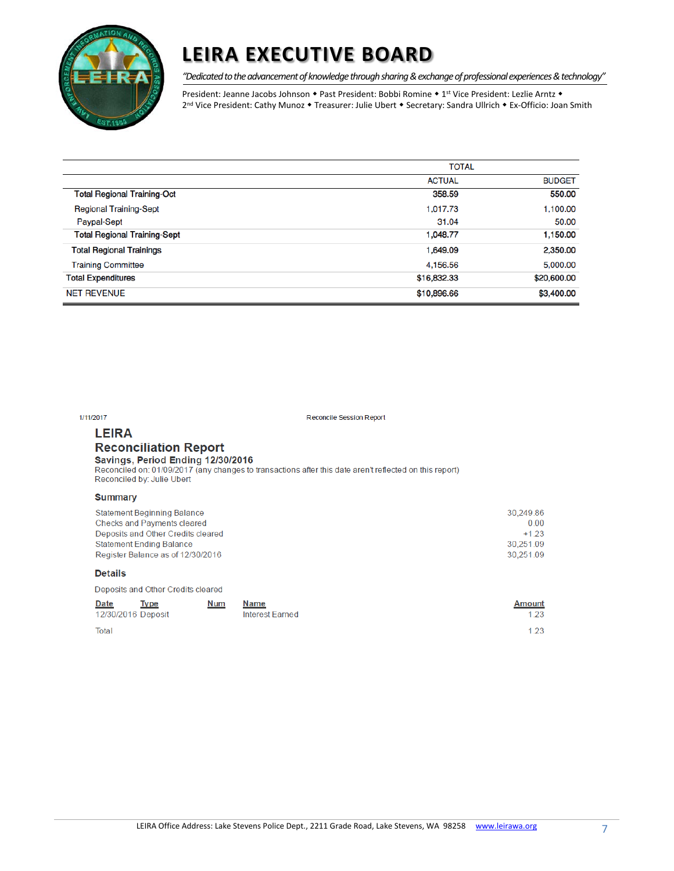

*"Dedicated to the advancement of knowledge through sharing & exchange of professional experiences & technology"*

President: Jeanne Jacobs Johnson • Past President: Bobbi Romine • 1st Vice President: Lezlie Arntz • 2<sup>nd</sup> Vice President: Cathy Munoz • Treasurer: Julie Ubert • Secretary: Sandra Ullrich • Ex-Officio: Joan Smith

|                                     | <b>TOTAL</b>  |               |  |
|-------------------------------------|---------------|---------------|--|
|                                     | <b>ACTUAL</b> | <b>BUDGET</b> |  |
| <b>Total Regional Training-Oct</b>  | 358.59        | 550.00        |  |
| <b>Regional Training-Sept</b>       | 1,017.73      | 1,100.00      |  |
| <b>Paypal-Sept</b>                  | 31.04         | 50.00         |  |
| <b>Total Regional Training-Sept</b> | 1,048.77      | 1,150.00      |  |
| <b>Total Regional Trainings</b>     | 1,649.09      | 2,350.00      |  |
| <b>Training Committee</b>           | 4,156.56      | 5,000.00      |  |
| <b>Total Expenditures</b>           | \$16,832.33   | \$20,600.00   |  |
| <b>NET REVENUE</b>                  | \$10,896.66   | \$3,400.00    |  |

| 1/11/2017                                                                                                                                                                              | <b>Reconcile Session Report</b>                                                                         |                                                       |
|----------------------------------------------------------------------------------------------------------------------------------------------------------------------------------------|---------------------------------------------------------------------------------------------------------|-------------------------------------------------------|
| <b>LEIRA</b><br><b>Reconciliation Report</b><br>Savings, Period Ending 12/30/2016<br>Reconciled by: Julie Ubert                                                                        | Reconciled on: 01/09/2017 (any changes to transactions after this date aren't reflected on this report) |                                                       |
| <b>Summary</b>                                                                                                                                                                         |                                                                                                         |                                                       |
| <b>Statement Beginning Balance</b><br><b>Checks and Payments cleared</b><br>Deposits and Other Credits cleared<br><b>Statement Ending Balance</b><br>Register Balance as of 12/30/2016 |                                                                                                         | 30,249.86<br>0.00<br>$+123$<br>30,251.09<br>30,251.09 |
| <b>Details</b>                                                                                                                                                                         |                                                                                                         |                                                       |
| Deposits and Other Credits cleared                                                                                                                                                     |                                                                                                         |                                                       |
| Date<br>Num<br><b>Type</b><br>12/30/2016 Deposit                                                                                                                                       | Name<br>Interest Farned                                                                                 | <b>Amount</b><br>1.23                                 |
| Total                                                                                                                                                                                  |                                                                                                         | 1.23                                                  |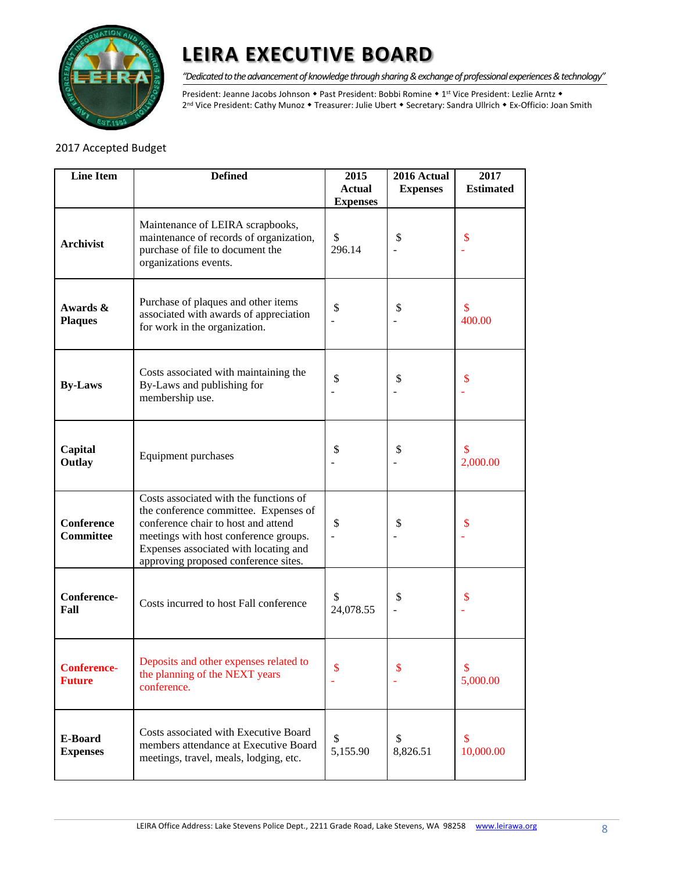

*"Dedicated to the advancement of knowledge through sharing & exchange of professional experiences & technology"*

President: Jeanne Jacobs Johnson • Past President: Bobbi Romine • 1st Vice President: Lezlie Arntz • 2<sup>nd</sup> Vice President: Cathy Munoz • Treasurer: Julie Ubert • Secretary: Sandra Ullrich • Ex-Officio: Joan Smith

### 2017 Accepted Budget

| <b>Line Item</b>                                                                                                                                             | <b>Defined</b>                                                                                                                                                                                                                                   | 2015<br><b>Actual</b> | 2016 Actual<br><b>Expenses</b> | 2017<br><b>Estimated</b> |
|--------------------------------------------------------------------------------------------------------------------------------------------------------------|--------------------------------------------------------------------------------------------------------------------------------------------------------------------------------------------------------------------------------------------------|-----------------------|--------------------------------|--------------------------|
|                                                                                                                                                              |                                                                                                                                                                                                                                                  | <b>Expenses</b>       |                                |                          |
| Maintenance of LEIRA scrapbooks,<br>maintenance of records of organization,<br><b>Archivist</b><br>purchase of file to document the<br>organizations events. |                                                                                                                                                                                                                                                  | \$<br>296.14          | \$                             | \$                       |
| Purchase of plaques and other items<br>Awards &<br>associated with awards of appreciation<br><b>Plaques</b><br>for work in the organization.                 |                                                                                                                                                                                                                                                  | \$                    | \$                             | \$<br>400.00             |
| <b>By-Laws</b>                                                                                                                                               | Costs associated with maintaining the<br>By-Laws and publishing for<br>membership use.                                                                                                                                                           | \$                    | \$                             | \$                       |
| Capital<br>Outlay                                                                                                                                            | Equipment purchases                                                                                                                                                                                                                              | \$                    | \$                             | S<br>2,000.00            |
| <b>Conference</b><br><b>Committee</b>                                                                                                                        | Costs associated with the functions of<br>the conference committee. Expenses of<br>conference chair to host and attend<br>meetings with host conference groups.<br>Expenses associated with locating and<br>approving proposed conference sites. | \$                    | \$                             | \$                       |
| Conference-<br>Fall                                                                                                                                          | Costs incurred to host Fall conference                                                                                                                                                                                                           | \$<br>24,078.55       | \$                             | \$                       |
| <b>Conference-</b><br><b>Future</b>                                                                                                                          | Deposits and other expenses related to<br>the planning of the NEXT years<br>conference.                                                                                                                                                          | \$                    | \$                             | \$<br>5,000.00           |
| E-Board<br><b>Expenses</b>                                                                                                                                   | Costs associated with Executive Board<br>members attendance at Executive Board<br>meetings, travel, meals, lodging, etc.                                                                                                                         | \$<br>5,155.90        | \$<br>8,826.51                 | \$<br>10,000.00          |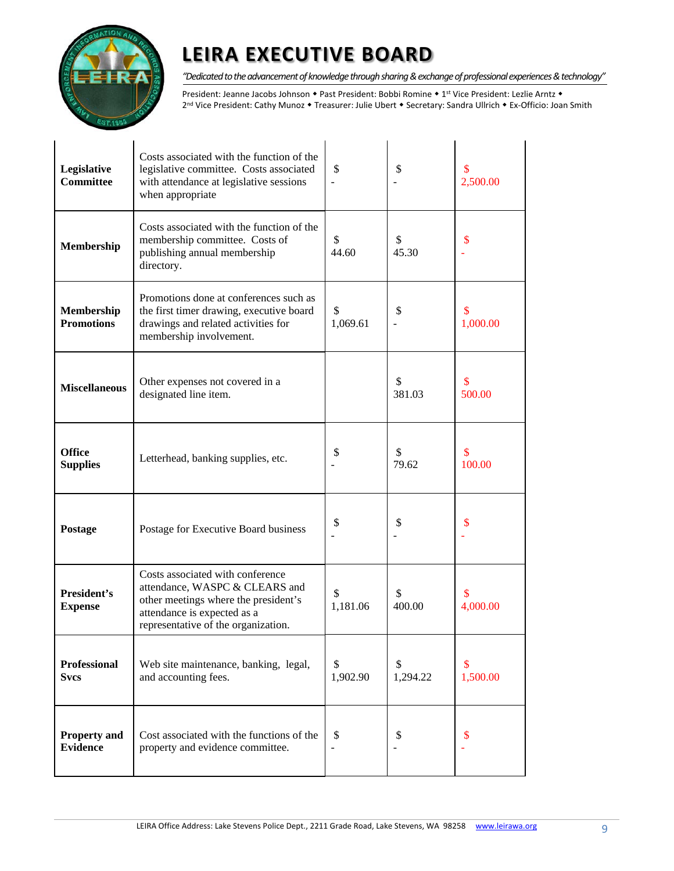

*"Dedicated to the advancement of knowledge through sharing & exchange of professional experiences & technology"*

President: Jeanne Jacobs Johnson • Past President: Bobbi Romine • 1st Vice President: Lezlie Arntz • 2<sup>nd</sup> Vice President: Cathy Munoz • Treasurer: Julie Ubert • Secretary: Sandra Ullrich • Ex-Officio: Joan Smith

| Legislative<br><b>Committee</b>                                                                                                                                                         | Costs associated with the function of the<br>legislative committee. Costs associated<br>with attendance at legislative sessions<br>when appropriate                              | \$             | \$             | $\mathbf{\$}$<br>2,500.00 |
|-----------------------------------------------------------------------------------------------------------------------------------------------------------------------------------------|----------------------------------------------------------------------------------------------------------------------------------------------------------------------------------|----------------|----------------|---------------------------|
| Costs associated with the function of the<br>membership committee. Costs of<br>Membership<br>publishing annual membership<br>directory.                                                 |                                                                                                                                                                                  | \$<br>44.60    | \$<br>45.30    | \$                        |
| Promotions done at conferences such as<br>the first timer drawing, executive board<br>Membership<br><b>Promotions</b><br>drawings and related activities for<br>membership involvement. |                                                                                                                                                                                  | \$<br>1,069.61 | \$             | \$<br>1,000.00            |
| <b>Miscellaneous</b>                                                                                                                                                                    | Other expenses not covered in a<br>designated line item.                                                                                                                         |                | \$<br>381.03   | S<br>500.00               |
| <b>Office</b><br><b>Supplies</b>                                                                                                                                                        | Letterhead, banking supplies, etc.                                                                                                                                               | \$             | \$<br>79.62    | $\mathsf{\$}$<br>100.00   |
| Postage                                                                                                                                                                                 | Postage for Executive Board business                                                                                                                                             | \$             | \$             | \$                        |
| President's<br><b>Expense</b>                                                                                                                                                           | Costs associated with conference<br>attendance, WASPC & CLEARS and<br>other meetings where the president's<br>attendance is expected as a<br>representative of the organization. | \$<br>1,181.06 | \$<br>400.00   | S<br>4,000.00             |
| <b>Professional</b><br><b>Svcs</b>                                                                                                                                                      | Web site maintenance, banking, legal,<br>and accounting fees.                                                                                                                    | \$<br>1,902.90 | \$<br>1,294.22 | $\mathbf{\$}$<br>1,500.00 |
| <b>Property and</b><br><b>Evidence</b>                                                                                                                                                  | Cost associated with the functions of the<br>property and evidence committee.                                                                                                    | \$             | \$             | \$                        |